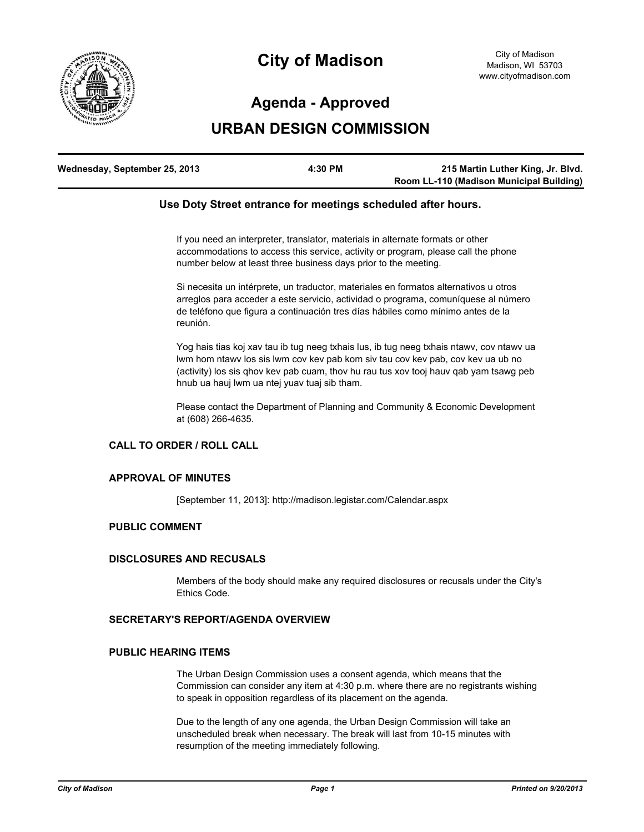

# **City of Madison**

# **Agenda - Approved**

# **URBAN DESIGN COMMISSION**

| Wednesday, September 25, 2013 | 4:30 PM | 215 Martin Luther King, Jr. Blvd.        |
|-------------------------------|---------|------------------------------------------|
|                               |         | Room LL-110 (Madison Municipal Building) |

### **Use Doty Street entrance for meetings scheduled after hours.**

If you need an interpreter, translator, materials in alternate formats or other accommodations to access this service, activity or program, please call the phone number below at least three business days prior to the meeting.

Si necesita un intérprete, un traductor, materiales en formatos alternativos u otros arreglos para acceder a este servicio, actividad o programa, comuníquese al número de teléfono que figura a continuación tres días hábiles como mínimo antes de la reunión.

Yog hais tias koj xav tau ib tug neeg txhais lus, ib tug neeg txhais ntawv, cov ntawv ua lwm hom ntawv los sis lwm cov kev pab kom siv tau cov kev pab, cov kev ua ub no (activity) los sis qhov kev pab cuam, thov hu rau tus xov tooj hauv qab yam tsawg peb hnub ua hauj lwm ua ntej yuav tuaj sib tham.

Please contact the Department of Planning and Community & Economic Development at (608) 266-4635.

# **CALL TO ORDER / ROLL CALL**

#### **APPROVAL OF MINUTES**

[September 11, 2013]: http://madison.legistar.com/Calendar.aspx

#### **PUBLIC COMMENT**

#### **DISCLOSURES AND RECUSALS**

Members of the body should make any required disclosures or recusals under the City's Ethics Code.

# **SECRETARY'S REPORT/AGENDA OVERVIEW**

## **PUBLIC HEARING ITEMS**

The Urban Design Commission uses a consent agenda, which means that the Commission can consider any item at 4:30 p.m. where there are no registrants wishing to speak in opposition regardless of its placement on the agenda.

Due to the length of any one agenda, the Urban Design Commission will take an unscheduled break when necessary. The break will last from 10-15 minutes with resumption of the meeting immediately following.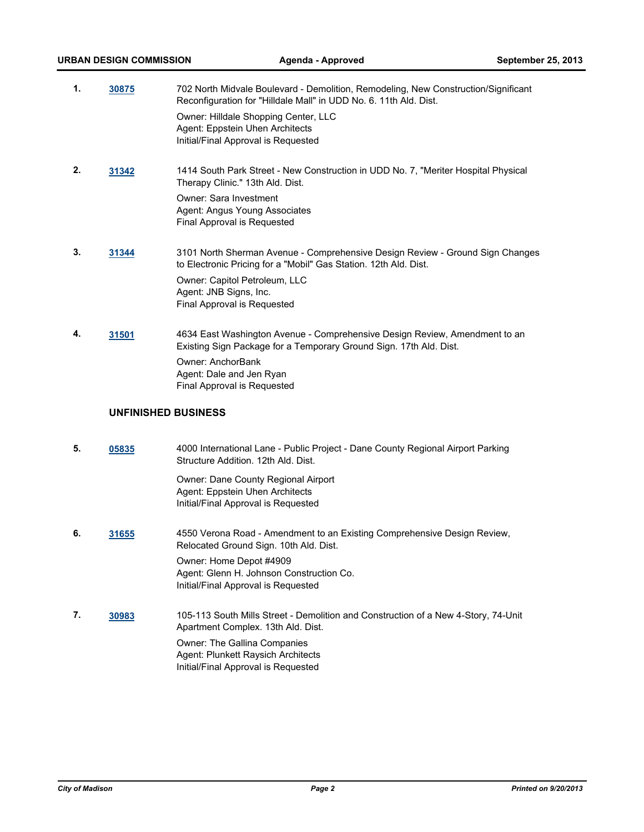| 1. | 30875 | 702 North Midvale Boulevard - Demolition, Remodeling, New Construction/Significant<br>Reconfiguration for "Hilldale Mall" in UDD No. 6. 11th Ald. Dist. |
|----|-------|---------------------------------------------------------------------------------------------------------------------------------------------------------|
|    |       | Owner: Hilldale Shopping Center, LLC<br>Agent: Eppstein Uhen Architects<br>Initial/Final Approval is Requested                                          |
| 2. | 31342 | 1414 South Park Street - New Construction in UDD No. 7, "Meriter Hospital Physical<br>Therapy Clinic." 13th Ald. Dist.                                  |
|    |       | Owner: Sara Investment<br>Agent: Angus Young Associates<br>Final Approval is Requested                                                                  |

- **3. [31344](http://madison.legistar.com/gateway.aspx?m=l&id=/matter.aspx?key=34309)** 3101 North Sherman Avenue Comprehensive Design Review Ground Sign Changes to Electronic Pricing for a "Mobil" Gas Station. 12th Ald. Dist. Owner: Capitol Petroleum, LLC Agent: JNB Signs, Inc. Final Approval is Requested
- **4. [31501](http://madison.legistar.com/gateway.aspx?m=l&id=/matter.aspx?key=34481)** 4634 East Washington Avenue Comprehensive Design Review, Amendment to an Existing Sign Package for a Temporary Ground Sign. 17th Ald. Dist. Owner: AnchorBank Agent: Dale and Jen Ryan Final Approval is Requested

# **UNFINISHED BUSINESS**

**5. [05835](http://madison.legistar.com/gateway.aspx?m=l&id=/matter.aspx?key=6838)** 4000 International Lane - Public Project - Dane County Regional Airport Parking Structure Addition. 12th Ald. Dist.

> Owner: Dane County Regional Airport Agent: Eppstein Uhen Architects Initial/Final Approval is Requested

- **6. [31655](http://madison.legistar.com/gateway.aspx?m=l&id=/matter.aspx?key=34652)** 4550 Verona Road Amendment to an Existing Comprehensive Design Review, Relocated Ground Sign. 10th Ald. Dist. Owner: Home Depot #4909 Agent: Glenn H. Johnson Construction Co. Initial/Final Approval is Requested
- **7. [30983](http://madison.legistar.com/gateway.aspx?m=l&id=/matter.aspx?key=33913)** 105-113 South Mills Street Demolition and Construction of a New 4-Story, 74-Unit Apartment Complex. 13th Ald. Dist. Owner: The Gallina Companies Agent: Plunkett Raysich Architects Initial/Final Approval is Requested